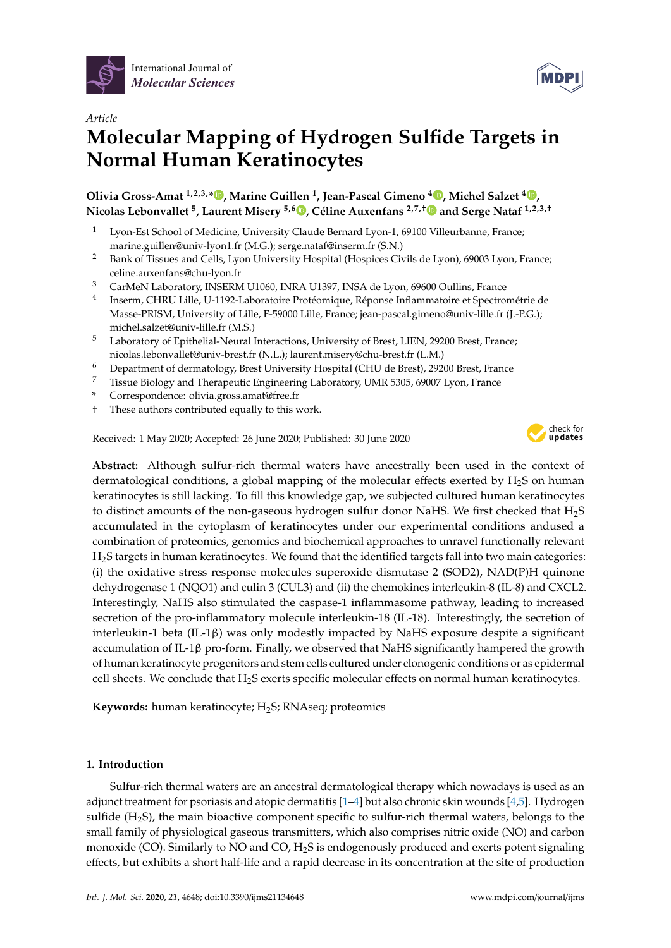



# *Article* **Molecular Mapping of Hydrogen Sulfide Targets in Normal Human Keratinocytes**

**Olivia Gross-Amat 1,2,3,\* , Marine Guillen <sup>1</sup> , Jean-Pascal Gimeno <sup>4</sup> , Michel Salzet <sup>4</sup> , Nicolas Lebonvallet <sup>5</sup> , Laurent Misery 5,6 , Céline Auxenfans 2,7,**† **and Serge Nataf 1,2,3,**†

- <sup>1</sup> Lyon-Est School of Medicine, University Claude Bernard Lyon-1, 69100 Villeurbanne, France; marine.guillen@univ-lyon1.fr (M.G.); serge.nataf@inserm.fr (S.N.)
- <sup>2</sup> Bank of Tissues and Cells, Lyon University Hospital (Hospices Civils de Lyon), 69003 Lyon, France; celine.auxenfans@chu-lyon.fr
- <sup>3</sup> CarMeN Laboratory, INSERM U1060, INRA U1397, INSA de Lyon, 69600 Oullins, France
- 4 Inserm, CHRU Lille, U-1192-Laboratoire Protéomique, Réponse Inflammatoire et Spectrométrie de Masse-PRISM, University of Lille, F-59000 Lille, France; jean-pascal.gimeno@univ-lille.fr (J.-P.G.); michel.salzet@univ-lille.fr (M.S.)
- <sup>5</sup> Laboratory of Epithelial-Neural Interactions, University of Brest, LIEN, 29200 Brest, France; nicolas.lebonvallet@univ-brest.fr (N.L.); laurent.misery@chu-brest.fr (L.M.)
- <sup>6</sup> Department of dermatology, Brest University Hospital (CHU de Brest), 29200 Brest, France
- <sup>7</sup> Tissue Biology and Therapeutic Engineering Laboratory, UMR 5305, 69007 Lyon, France
- **\*** Correspondence: olivia.gross.amat@free.fr
- † These authors contributed equally to this work.

Received: 1 May 2020; Accepted: 26 June 2020; Published: 30 June 2020



**Abstract:** Although sulfur-rich thermal waters have ancestrally been used in the context of dermatological conditions, a global mapping of the molecular effects exerted by  $H_2S$  on human keratinocytes is still lacking. To fill this knowledge gap, we subjected cultured human keratinocytes to distinct amounts of the non-gaseous hydrogen sulfur donor NaHS. We first checked that H2S accumulated in the cytoplasm of keratinocytes under our experimental conditions andused a combination of proteomics, genomics and biochemical approaches to unravel functionally relevant H2S targets in human keratinocytes. We found that the identified targets fall into two main categories: (i) the oxidative stress response molecules superoxide dismutase 2 (SOD2), NAD(P)H quinone dehydrogenase 1 (NQO1) and culin 3 (CUL3) and (ii) the chemokines interleukin-8 (IL-8) and CXCL2. Interestingly, NaHS also stimulated the caspase-1 inflammasome pathway, leading to increased secretion of the pro-inflammatory molecule interleukin-18 (IL-18). Interestingly, the secretion of interleukin-1 beta (IL-1β) was only modestly impacted by NaHS exposure despite a significant accumulation of IL-1 $\beta$  pro-form. Finally, we observed that NaHS significantly hampered the growth of human keratinocyte progenitors and stem cells cultured under clonogenic conditions or as epidermal cell sheets. We conclude that  $H_2S$  exerts specific molecular effects on normal human keratinocytes.

Keywords: human keratinocyte; H<sub>2</sub>S; RNAseq; proteomics

# **1. Introduction**

Sulfur-rich thermal waters are an ancestral dermatological therapy which nowadays is used as an adjunct treatment for psoriasis and atopic dermatitis [1–4] but also chronic skin wounds [4,5]. Hydrogen sulfide  $(H_2S)$ , the main bioactive component specific to sulfur-rich thermal waters, belongs to the small family of physiological gaseous transmitters, which also comprises nitric oxide (NO) and carbon monoxide (CO). Similarly to NO and CO, H<sub>2</sub>S is endogenously produced and exerts potent signaling effects, but exhibits a short half-life and a rapid decrease in its concentration at the site of production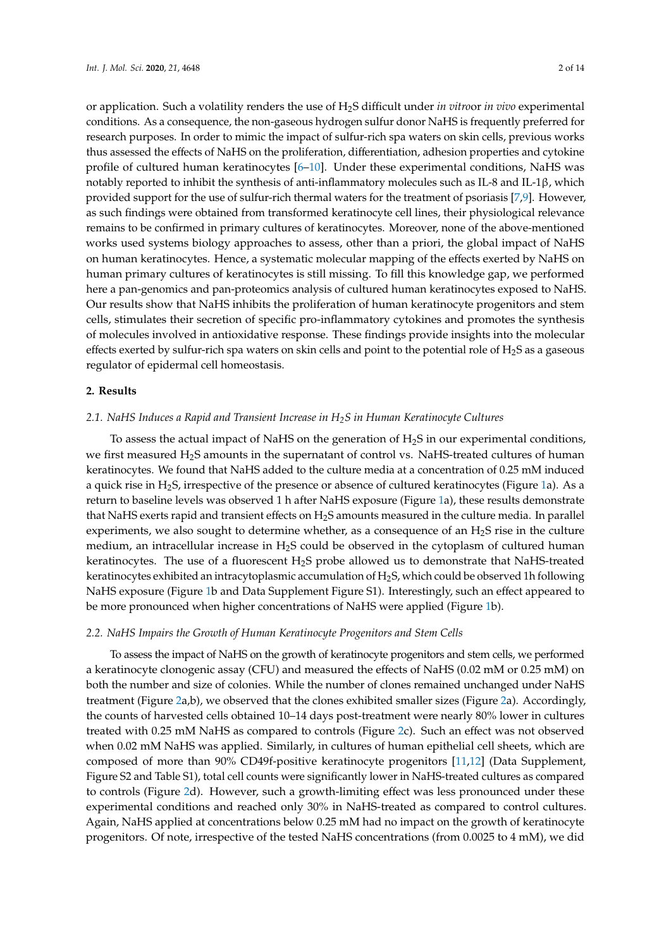or application. Such a volatility renders the use of H2S difficult under *in vitro*or *in vivo* experimental conditions. As a consequence, the non-gaseous hydrogen sulfur donor NaHS is frequently preferred for research purposes. In order to mimic the impact of sulfur-rich spa waters on skin cells, previous works thus assessed the effects of NaHS on the proliferation, differentiation, adhesion properties and cytokine profile of cultured human keratinocytes [6–10]. Under these experimental conditions, NaHS was notably reported to inhibit the synthesis of anti-inflammatory molecules such as IL-8 and IL-1β, which provided support for the use of sulfur-rich thermal waters for the treatment of psoriasis [7,9]. However, as such findings were obtained from transformed keratinocyte cell lines, their physiological relevance remains to be confirmed in primary cultures of keratinocytes. Moreover, none of the above-mentioned works used systems biology approaches to assess, other than a priori, the global impact of NaHS on human keratinocytes. Hence, a systematic molecular mapping of the effects exerted by NaHS on human primary cultures of keratinocytes is still missing. To fill this knowledge gap, we performed here a pan-genomics and pan-proteomics analysis of cultured human keratinocytes exposed to NaHS. Our results show that NaHS inhibits the proliferation of human keratinocyte progenitors and stem cells, stimulates their secretion of specific pro-inflammatory cytokines and promotes the synthesis of molecules involved in antioxidative response. These findings provide insights into the molecular effects exerted by sulfur-rich spa waters on skin cells and point to the potential role of  $H_2S$  as a gaseous regulator of epidermal cell homeostasis.

#### **2. Results**

## *2.1. NaHS Induces a Rapid and Transient Increase in H2S in Human Keratinocyte Cultures*

To assess the actual impact of NaHS on the generation of  $H_2S$  in our experimental conditions, we first measured H<sub>2</sub>S amounts in the supernatant of control vs. NaHS-treated cultures of human keratinocytes. We found that NaHS added to the culture media at a concentration of 0.25 mM induced a quick rise in  $H_2S$ , irrespective of the presence or absence of cultured keratinocytes (Figure 1a). As a return to baseline levels was observed 1 h after NaHS exposure (Figure 1a), these results demonstrate that NaHS exerts rapid and transient effects on  $H_2S$  amounts measured in the culture media. In parallel experiments, we also sought to determine whether, as a consequence of an  $H_2S$  rise in the culture medium, an intracellular increase in  $H_2S$  could be observed in the cytoplasm of cultured human keratinocytes. The use of a fluorescent  $H_2S$  probe allowed us to demonstrate that NaHS-treated keratinocytes exhibited an intracytoplasmic accumulation of H<sub>2</sub>S, which could be observed 1h following NaHS exposure (Figure 1b and Data Supplement Figure S1). Interestingly, such an effect appeared to be more pronounced when higher concentrations of NaHS were applied (Figure 1b).

## *2.2. NaHS Impairs the Growth of Human Keratinocyte Progenitors and Stem Cells*

To assess the impact of NaHS on the growth of keratinocyte progenitors and stem cells, we performed a keratinocyte clonogenic assay (CFU) and measured the effects of NaHS (0.02 mM or 0.25 mM) on both the number and size of colonies. While the number of clones remained unchanged under NaHS treatment (Figure 2a,b), we observed that the clones exhibited smaller sizes (Figure 2a). Accordingly, the counts of harvested cells obtained 10–14 days post-treatment were nearly 80% lower in cultures treated with 0.25 mM NaHS as compared to controls (Figure 2c). Such an effect was not observed when 0.02 mM NaHS was applied. Similarly, in cultures of human epithelial cell sheets, which are composed of more than 90% CD49f-positive keratinocyte progenitors [11,12] (Data Supplement, Figure S2 and Table S1), total cell counts were significantly lower in NaHS-treated cultures as compared to controls (Figure 2d). However, such a growth-limiting effect was less pronounced under these experimental conditions and reached only 30% in NaHS-treated as compared to control cultures. Again, NaHS applied at concentrations below 0.25 mM had no impact on the growth of keratinocyte progenitors. Of note, irrespective of the tested NaHS concentrations (from 0.0025 to 4 mM), we did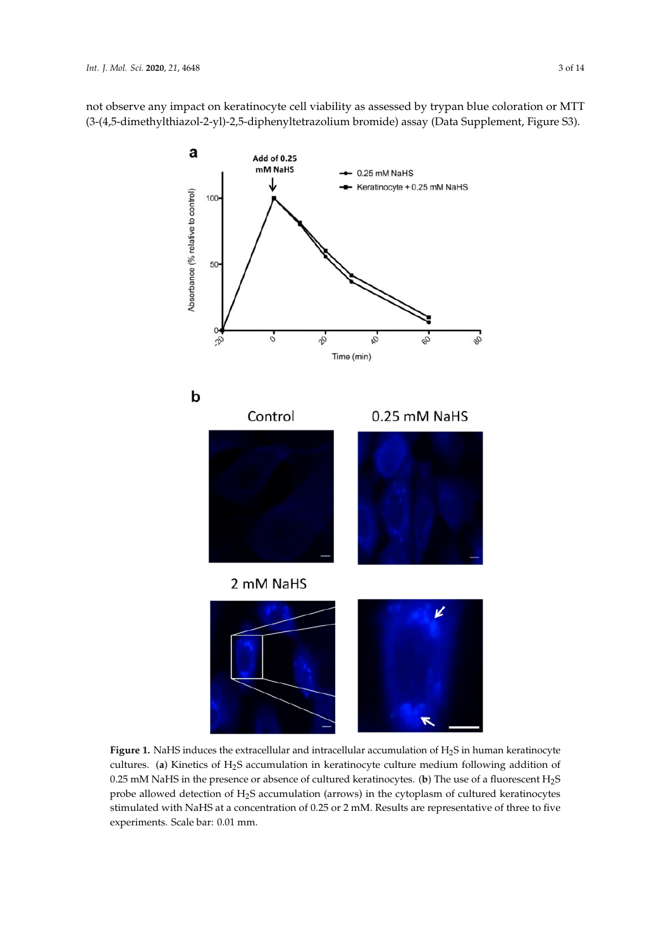not observe any impact on keratinocyte cell viability as assessed by trypan blue coloration or MTT (3-(4,5-dimethylthiazol-2-yl)-2,5-diphenyltetrazolium bromide) assay (Data Supplement, Figure S3).



Figure 1. NaHS induces the extracellular and intracellular accumulation of H<sub>2</sub>S in human keratinocyte cultures. (**a**) Kinetics of H2S accumulation in keratinocyte culture medium following addition of 0.25 mM NaHS in the presence or absence of cultured keratinocytes. (**b**) The use of a fluorescent H2S probe allowed detection of  $H_2S$  accumulation (arrows) in the cytoplasm of cultured keratinocytes stimulated with NaHS at a concentration of 0.25 or 2 mM. Results are representative of three to five experiments. Scale bar: 0.01 mm.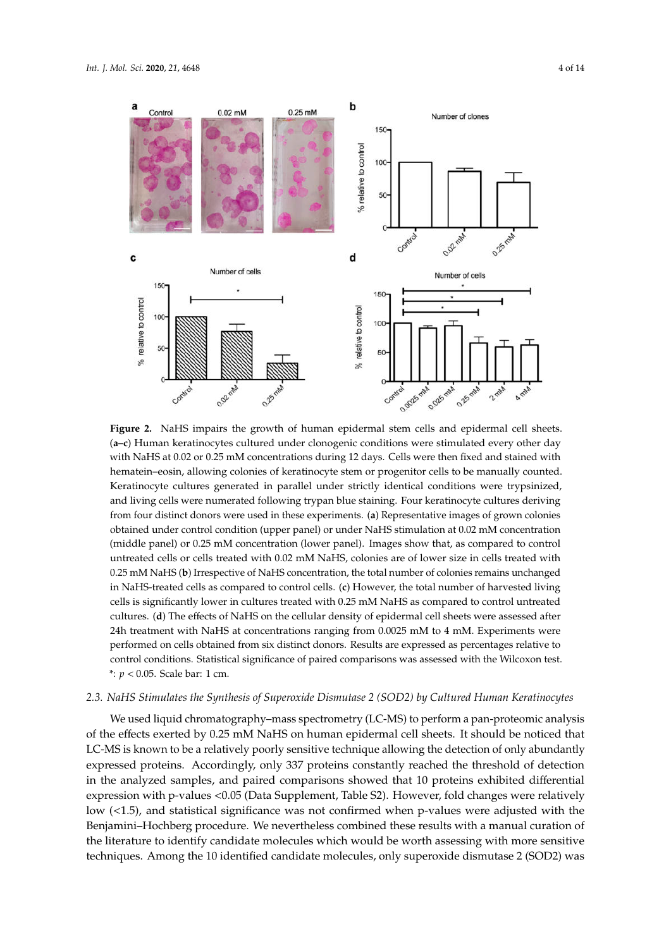



**Figure 2.** NaHS impairs the growth of human epidermal stem cells and epidermal cell sheets. (**a–c**) Human keratinocytes cultured under clonogenic conditions were stimulated every other day with NaHS at 0.02 or 0.25 mM concentrations during 12 days. Cells were then fixed and stained with hematein–eosin, allowing colonies of keratinocyte stem or progenitor cells to be manually counted. Keratinocyte cultures generated in parallel under strictly identical conditions were trypsinized, and living cells were numerated following trypan blue staining. Four keratinocyte cultures deriving from four distinct donors were used in these experiments. (**a**) Representative images of grown colonies obtained under control condition (upper panel) or under NaHS stimulation at 0.02 mM concentration (middle panel) or 0.25 mM concentration (lower panel). Images show that, as compared to control untreated cells or cells treated with 0.02 mM NaHS, colonies are of lower size in cells treated with 0.25 mM NaHS (**b**) Irrespective of NaHS concentration, the total number of colonies remains unchanged in NaHS-treated cells as compared to control cells. (**c**) However, the total number of harvested living cells is significantly lower in cultures treated with 0.25 mM NaHS as compared to control untreated cultures. (**d**) The effects of NaHS on the cellular density of epidermal cell sheets were assessed after 24h treatment with NaHS at concentrations ranging from 0.0025 mM to 4 mM. Experiments were performed on cells obtained from six distinct donors. Results are expressed as percentages relative to control conditions. Statistical significance of paired comparisons was assessed with the Wilcoxon test. \*: *p* < 0.05. Scale bar: 1 cm.

# *2.3. NaHS Stimulates the Synthesis of Superoxide Dismutase 2 (SOD2) by Cultured Human Keratinocytes*

We used liquid chromatography–mass spectrometry (LC-MS) to perform a pan-proteomic analysis of the effects exerted by 0.25 mM NaHS on human epidermal cell sheets. It should be noticed that LC-MS is known to be a relatively poorly sensitive technique allowing the detection of only abundantly expressed proteins. Accordingly, only 337 proteins constantly reached the threshold of detection in the analyzed samples, and paired comparisons showed that 10 proteins exhibited differential expression with p-values <0.05 (Data Supplement, Table S2). However, fold changes were relatively low (<1.5), and statistical significance was not confirmed when p-values were adjusted with the Benjamini–Hochberg procedure. We nevertheless combined these results with a manual curation of the literature to identify candidate molecules which would be worth assessing with more sensitive techniques. Among the 10 identified candidate molecules, only superoxide dismutase 2 (SOD2) was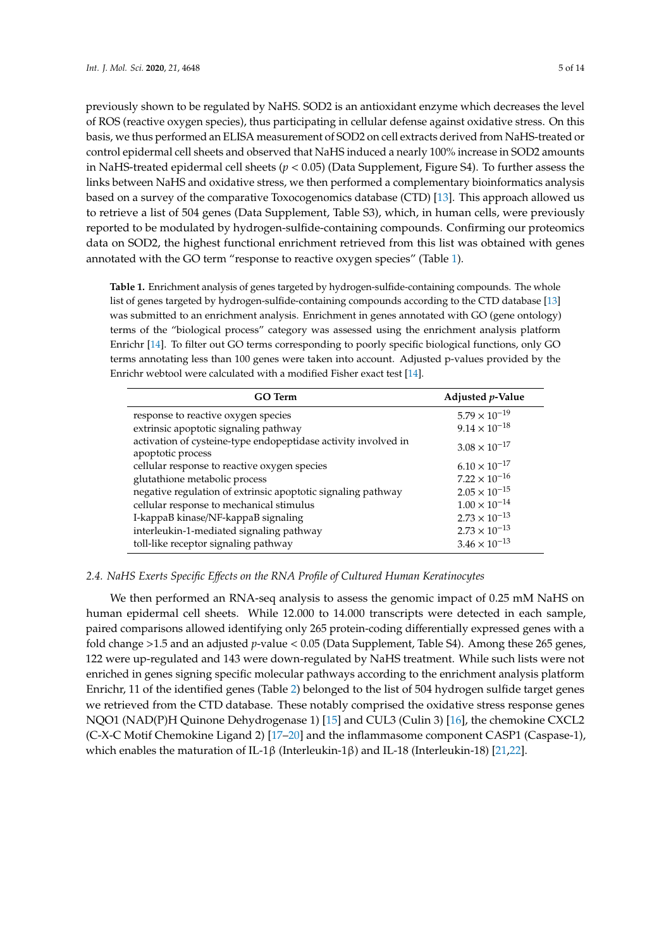previously shown to be regulated by NaHS. SOD2 is an antioxidant enzyme which decreases the level of ROS (reactive oxygen species), thus participating in cellular defense against oxidative stress. On this basis, we thus performed an ELISA measurement of SOD2 on cell extracts derived from NaHS-treated or control epidermal cell sheets and observed that NaHS induced a nearly 100% increase in SOD2 amounts in NaHS-treated epidermal cell sheets (*p* < 0.05) (Data Supplement, Figure S4). To further assess the links between NaHS and oxidative stress, we then performed a complementary bioinformatics analysis based on a survey of the comparative Toxocogenomics database (CTD) [13]. This approach allowed us to retrieve a list of 504 genes (Data Supplement, Table S3), which, in human cells, were previously reported to be modulated by hydrogen-sulfide-containing compounds. Confirming our proteomics data on SOD2, the highest functional enrichment retrieved from this list was obtained with genes annotated with the GO term "response to reactive oxygen species" (Table 1).

**Table 1.** Enrichment analysis of genes targeted by hydrogen-sulfide-containing compounds. The whole list of genes targeted by hydrogen-sulfide-containing compounds according to the CTD database [13] was submitted to an enrichment analysis. Enrichment in genes annotated with GO (gene ontology) terms of the "biological process" category was assessed using the enrichment analysis platform Enrichr [14]. To filter out GO terms corresponding to poorly specific biological functions, only GO terms annotating less than 100 genes were taken into account. Adjusted p-values provided by the Enrichr webtool were calculated with a modified Fisher exact test [14].

| <b>GO</b> Term                                                                      | Adjusted $p$ -Value    |
|-------------------------------------------------------------------------------------|------------------------|
| response to reactive oxygen species                                                 | $5.79 \times 10^{-19}$ |
| extrinsic apoptotic signaling pathway                                               | $9.14 \times 10^{-18}$ |
| activation of cysteine-type endopeptidase activity involved in<br>apoptotic process | $3.08 \times 10^{-17}$ |
| cellular response to reactive oxygen species                                        | $6.10 \times 10^{-17}$ |
| glutathione metabolic process                                                       | $7.22 \times 10^{-16}$ |
| negative regulation of extrinsic apoptotic signaling pathway                        | $2.05 \times 10^{-15}$ |
| cellular response to mechanical stimulus                                            | $1.00 \times 10^{-14}$ |
| I-kappaB kinase/NF-kappaB signaling                                                 | $2.73 \times 10^{-13}$ |
| interleukin-1-mediated signaling pathway                                            | $2.73 \times 10^{-13}$ |
| toll-like receptor signaling pathway                                                | $3.46 \times 10^{-13}$ |

## *2.4. NaHS Exerts Specific E*ff*ects on the RNA Profile of Cultured Human Keratinocytes*

We then performed an RNA-seq analysis to assess the genomic impact of 0.25 mM NaHS on human epidermal cell sheets. While 12.000 to 14.000 transcripts were detected in each sample, paired comparisons allowed identifying only 265 protein-coding differentially expressed genes with a fold change >1.5 and an adjusted *p*-value < 0.05 (Data Supplement, Table S4). Among these 265 genes, 122 were up-regulated and 143 were down-regulated by NaHS treatment. While such lists were not enriched in genes signing specific molecular pathways according to the enrichment analysis platform Enrichr, 11 of the identified genes (Table 2) belonged to the list of 504 hydrogen sulfide target genes we retrieved from the CTD database. These notably comprised the oxidative stress response genes NQO1 (NAD(P)H Quinone Dehydrogenase 1) [15] and CUL3 (Culin 3) [16], the chemokine CXCL2 (C-X-C Motif Chemokine Ligand 2) [17–20] and the inflammasome component CASP1 (Caspase-1), which enables the maturation of IL-1β (Interleukin-1β) and IL-18 (Interleukin-18) [21,22].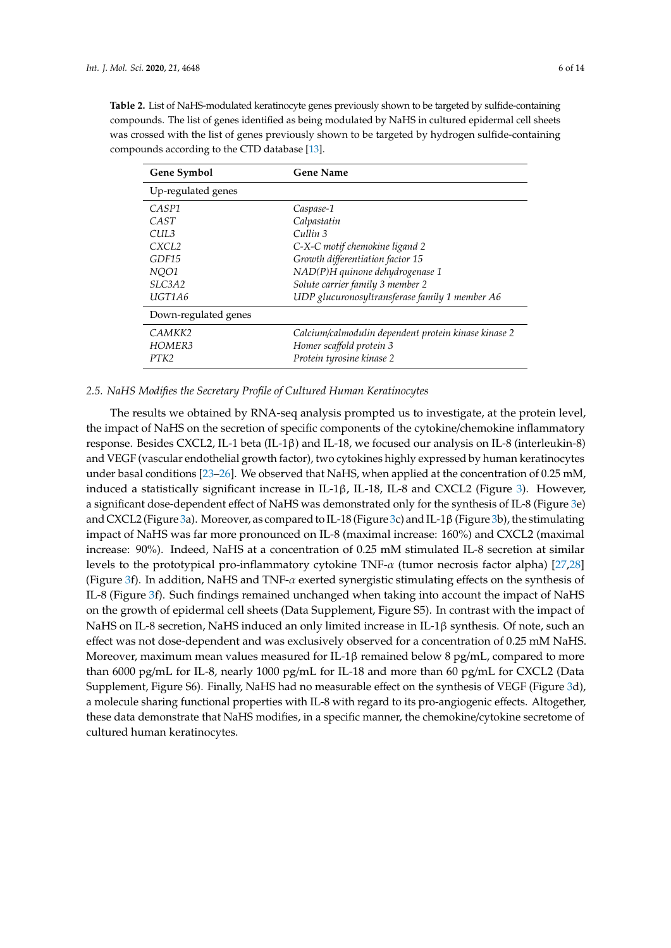**Table 2.** List of NaHS-modulated keratinocyte genes previously shown to be targeted by sulfide-containing compounds. The list of genes identified as being modulated by NaHS in cultured epidermal cell sheets was crossed with the list of genes previously shown to be targeted by hydrogen sulfide-containing compounds according to the CTD database [13].

| Gene Symbol          | <b>Gene Name</b>                                     |
|----------------------|------------------------------------------------------|
| Up-regulated genes   |                                                      |
| CASP <sub>1</sub>    | Caspase-1                                            |
| CAST                 | Calpastatin                                          |
| CUL3                 | Cullin 3                                             |
| CXCL <sub>2</sub>    | C-X-C motif chemokine ligand 2                       |
| GDF15                | Growth differentiation factor 15                     |
| NOO1                 | NAD(P)H quinone dehydrogenase 1                      |
| SLC3A2               | Solute carrier family 3 member 2                     |
| UGT1A6               | UDP glucuronosyltransferase family 1 member A6       |
| Down-regulated genes |                                                      |
| CAMKK <sub>2</sub>   | Calcium/calmodulin dependent protein kinase kinase 2 |
| HOMER3               | Homer scaffold protein 3                             |
| PTK2                 | Protein tyrosine kinase 2                            |

#### *2.5. NaHS Modifies the Secretary Profile of Cultured Human Keratinocytes*

The results we obtained by RNA-seq analysis prompted us to investigate, at the protein level, the impact of NaHS on the secretion of specific components of the cytokine/chemokine inflammatory response. Besides CXCL2, IL-1 beta (IL-1β) and IL-18, we focused our analysis on IL-8 (interleukin-8) and VEGF (vascular endothelial growth factor), two cytokines highly expressed by human keratinocytes under basal conditions [23-26]. We observed that NaHS, when applied at the concentration of 0.25 mM, induced a statistically significant increase in IL-1β, IL-18, IL-8 and CXCL2 (Figure 3). However, a significant dose-dependent effect of NaHS was demonstrated only for the synthesis of IL-8 (Figure 3e) and CXCL2 (Figure 3a). Moreover, as compared to IL-18 (Figure 3c) and IL-1β(Figure 3b), the stimulating impact of NaHS was far more pronounced on IL-8 (maximal increase: 160%) and CXCL2 (maximal increase: 90%). Indeed, NaHS at a concentration of 0.25 mM stimulated IL-8 secretion at similar levels to the prototypical pro-inflammatory cytokine TNF- $\alpha$  (tumor necrosis factor alpha) [27,28] (Figure 3f). In addition, NaHS and TNF-α exerted synergistic stimulating effects on the synthesis of IL-8 (Figure 3f). Such findings remained unchanged when taking into account the impact of NaHS on the growth of epidermal cell sheets (Data Supplement, Figure S5). In contrast with the impact of NaHS on IL-8 secretion, NaHS induced an only limited increase in IL-1β synthesis. Of note, such an effect was not dose-dependent and was exclusively observed for a concentration of 0.25 mM NaHS. Moreover, maximum mean values measured for IL-1 $\beta$  remained below 8 pg/mL, compared to more than 6000 pg/mL for IL-8, nearly 1000 pg/mL for IL-18 and more than 60 pg/mL for CXCL2 (Data Supplement, Figure S6). Finally, NaHS had no measurable effect on the synthesis of VEGF (Figure 3d), a molecule sharing functional properties with IL-8 with regard to its pro-angiogenic effects. Altogether, these data demonstrate that NaHS modifies, in a specific manner, the chemokine/cytokine secretome of cultured human keratinocytes.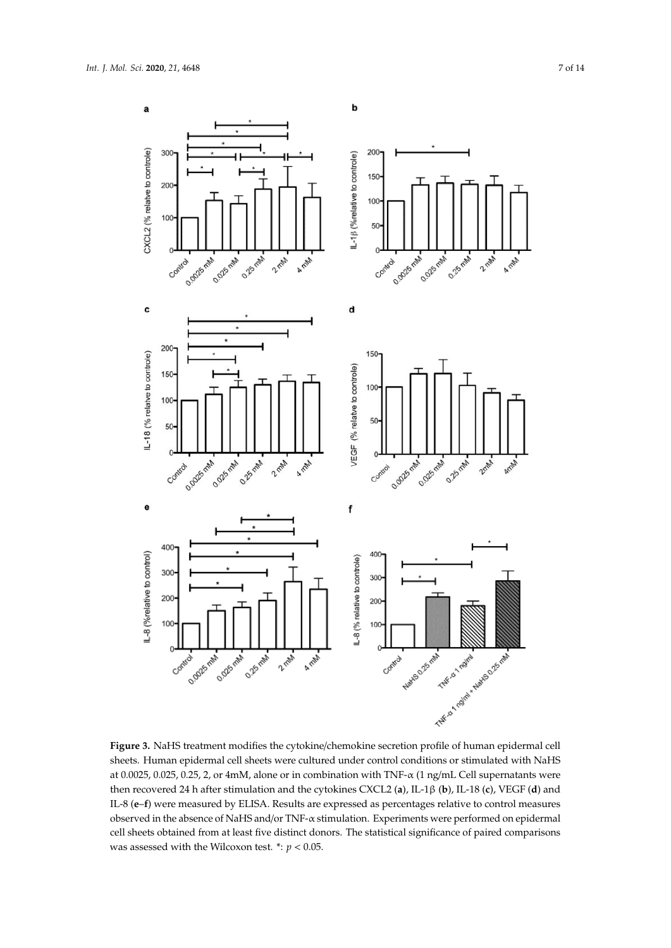

α β at 0.0025, 0.025, 0.25, 2, or 4mM, alone or in combination with TNF-α (1 ng/mL Cell supernatants were **Figure 3.** NaHS treatment modifies the cytokine/chemokine secretion profile of human epidermal cell sheets. Human epidermal cell sheets were cultured under control conditions or stimulated with NaHS then recovered 24 h after stimulation and the cytokines CXCL2 (**a**), IL-1β (**b**), IL-18 (**c**), VEGF (**d**) and IL-8 (**e**–**f**) were measured by ELISA. Results are expressed as percentages relative to control measures observed in the absence of NaHS and/or TNF-α stimulation. Experiments were performed on epidermal cell sheets obtained from at least five distinct donors. The statistical significance of paired comparisons was assessed with the Wilcoxon test.  $\dot{r}$ :  $p < 0.05$ .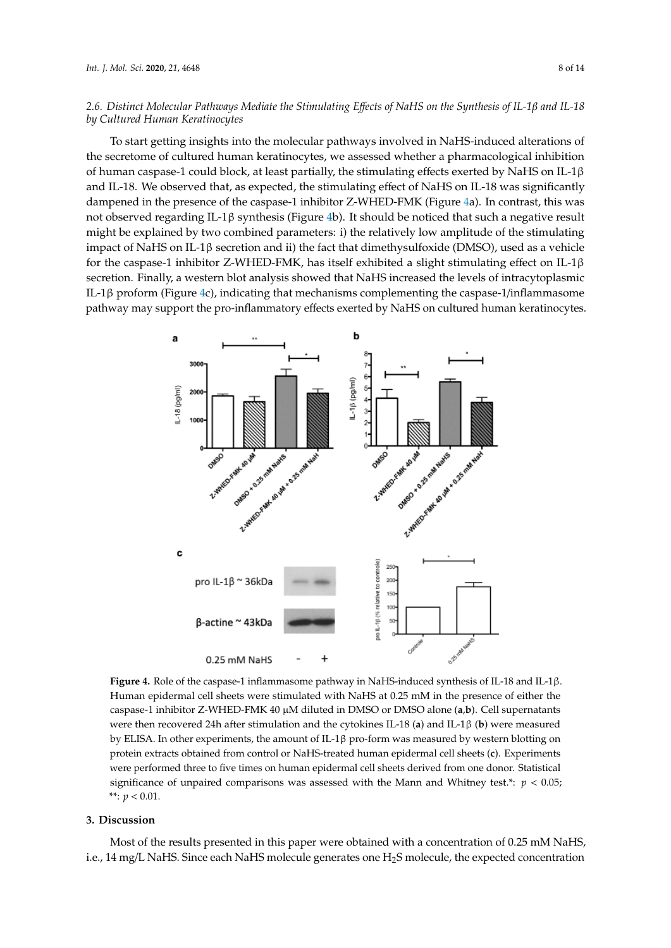# *2.6. Distinct Molecular Pathways Mediate the Stimulating E*ff*ects of NaHS on the Synthesis of IL-1*β *and IL-18 by Cultured Human Keratinocytes*

To start getting insights into the molecular pathways involved in NaHS-induced alterations of the secretome of cultured human keratinocytes, we assessed whether a pharmacological inhibition β of human caspase-1 could block, at least partially, the stimulating effects exerted by NaHS on IL-1 $\beta$ and IL-18. We observed that, as expected, the stimulating effect of NaHS on IL-18 was significantly dampened in the presence of the caspase-1 inhibitor Z-WHED-FMK (Figure 4a). In contrast, this was not observed regarding IL-1β synthesis (Figure 4b). It should be noticed that such a negative result might be explained by two combined parameters: i) the relatively low amplitude of the stimulating β impact of NaHS on IL-1β secretion and ii) the fact that dimethysulfoxide (DMSO), used as a vehicle for the caspase-1 inhibitor Z-WHED-FMK, has itself exhibited a slight stimulating effect on IL-1β β secretion. Finally, a western blot analysis showed that NaHS increased the levels of intracytoplasmic IL-1β proform (Figure 4c), indicating that mechanisms complementing the caspase-1/inflammasome pathway may support the pro-inflammatory effects exerted by NaHS on cultured human keratinocytes.



β caspase-1 inhibitor Z-WHED-FMK 40 µM diluted in DMSO or DMSO alone (**a**,**b**). Cell supernatants by ELISA. In other experiments, the amount of IL-1β pro-form was measured by western blotting on protein extracts obtained from control or NaHS-treated human epidermal cell sheets (**c**). Experiments **Figure 4.** Role of the caspase-1 inflammasome pathway in NaHS-induced synthesis of IL-18 and IL-1β. Human epidermal cell sheets were stimulated with NaHS at 0.25 mM in the presence of either the were then recovered 24h after stimulation and the cytokines IL-18 (**a**) and IL-1β (**b**) were measured were performed three to five times on human epidermal cell sheets derived from one donor. Statistical significance of unpaired comparisons was assessed with the Mann and Whitney test.\*:  $p < 0.05$ ; \*\*:  $p < 0.01$ .

## **3. Discussion**

Most of the results presented in this paper were obtained with a concentration of 0.25 mM NaHS, i.e., 14 mg/L NaHS. Since each NaHS molecule generates one H2S molecule, the expected concentration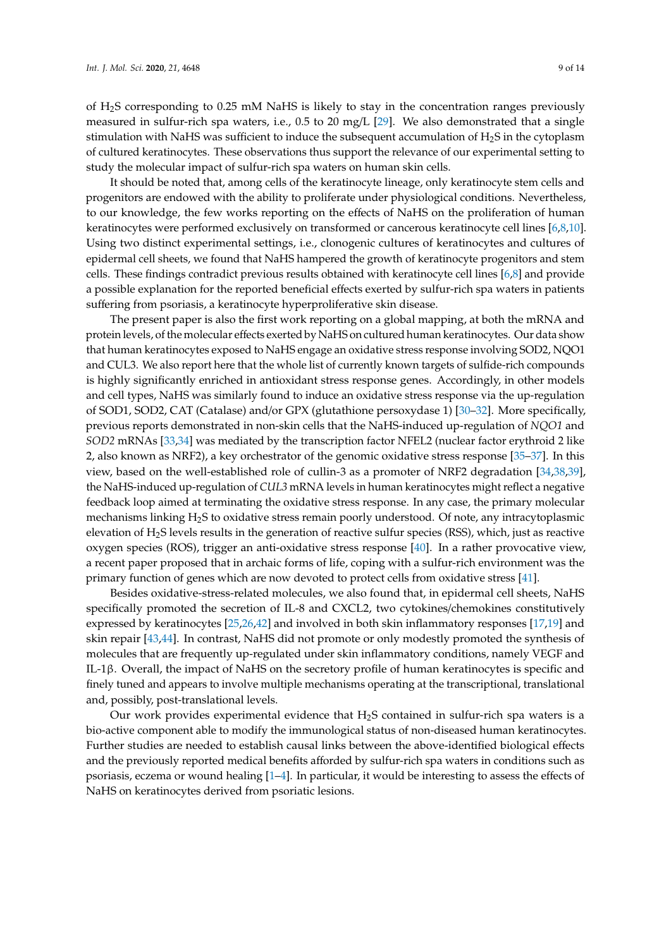of H2S corresponding to 0.25 mM NaHS is likely to stay in the concentration ranges previously measured in sulfur-rich spa waters, i.e., 0.5 to 20 mg/L [29]. We also demonstrated that a single stimulation with NaHS was sufficient to induce the subsequent accumulation of H2S in the cytoplasm of cultured keratinocytes. These observations thus support the relevance of our experimental setting to study the molecular impact of sulfur-rich spa waters on human skin cells.

It should be noted that, among cells of the keratinocyte lineage, only keratinocyte stem cells and progenitors are endowed with the ability to proliferate under physiological conditions. Nevertheless, to our knowledge, the few works reporting on the effects of NaHS on the proliferation of human keratinocytes were performed exclusively on transformed or cancerous keratinocyte cell lines [6,8,10]. Using two distinct experimental settings, i.e., clonogenic cultures of keratinocytes and cultures of epidermal cell sheets, we found that NaHS hampered the growth of keratinocyte progenitors and stem cells. These findings contradict previous results obtained with keratinocyte cell lines [6,8] and provide a possible explanation for the reported beneficial effects exerted by sulfur-rich spa waters in patients suffering from psoriasis, a keratinocyte hyperproliferative skin disease.

The present paper is also the first work reporting on a global mapping, at both the mRNA and protein levels, of the molecular effects exerted by NaHS on cultured human keratinocytes. Our data show that human keratinocytes exposed to NaHS engage an oxidative stress response involving SOD2, NQO1 and CUL3. We also report here that the whole list of currently known targets of sulfide-rich compounds is highly significantly enriched in antioxidant stress response genes. Accordingly, in other models and cell types, NaHS was similarly found to induce an oxidative stress response via the up-regulation of SOD1, SOD2, CAT (Catalase) and/or GPX (glutathione persoxydase 1) [30–32]. More specifically, previous reports demonstrated in non-skin cells that the NaHS-induced up-regulation of *NQO1* and *SOD2* mRNAs [33,34] was mediated by the transcription factor NFEL2 (nuclear factor erythroid 2 like 2, also known as NRF2), a key orchestrator of the genomic oxidative stress response [35–37]. In this view, based on the well-established role of cullin-3 as a promoter of NRF2 degradation [34,38,39], the NaHS-induced up-regulation of *CUL3* mRNA levels in human keratinocytes might reflect a negative feedback loop aimed at terminating the oxidative stress response. In any case, the primary molecular mechanisms linking H2S to oxidative stress remain poorly understood. Of note, any intracytoplasmic elevation of H2S levels results in the generation of reactive sulfur species (RSS), which, just as reactive oxygen species (ROS), trigger an anti-oxidative stress response [40]. In a rather provocative view, a recent paper proposed that in archaic forms of life, coping with a sulfur-rich environment was the primary function of genes which are now devoted to protect cells from oxidative stress [41].

Besides oxidative-stress-related molecules, we also found that, in epidermal cell sheets, NaHS specifically promoted the secretion of IL-8 and CXCL2, two cytokines/chemokines constitutively expressed by keratinocytes [25,26,42] and involved in both skin inflammatory responses [17,19] and skin repair [43,44]. In contrast, NaHS did not promote or only modestly promoted the synthesis of molecules that are frequently up-regulated under skin inflammatory conditions, namely VEGF and IL-1β. Overall, the impact of NaHS on the secretory profile of human keratinocytes is specific and finely tuned and appears to involve multiple mechanisms operating at the transcriptional, translational and, possibly, post-translational levels.

Our work provides experimental evidence that  $H_2S$  contained in sulfur-rich spa waters is a bio-active component able to modify the immunological status of non-diseased human keratinocytes. Further studies are needed to establish causal links between the above-identified biological effects and the previously reported medical benefits afforded by sulfur-rich spa waters in conditions such as psoriasis, eczema or wound healing [1–4]. In particular, it would be interesting to assess the effects of NaHS on keratinocytes derived from psoriatic lesions.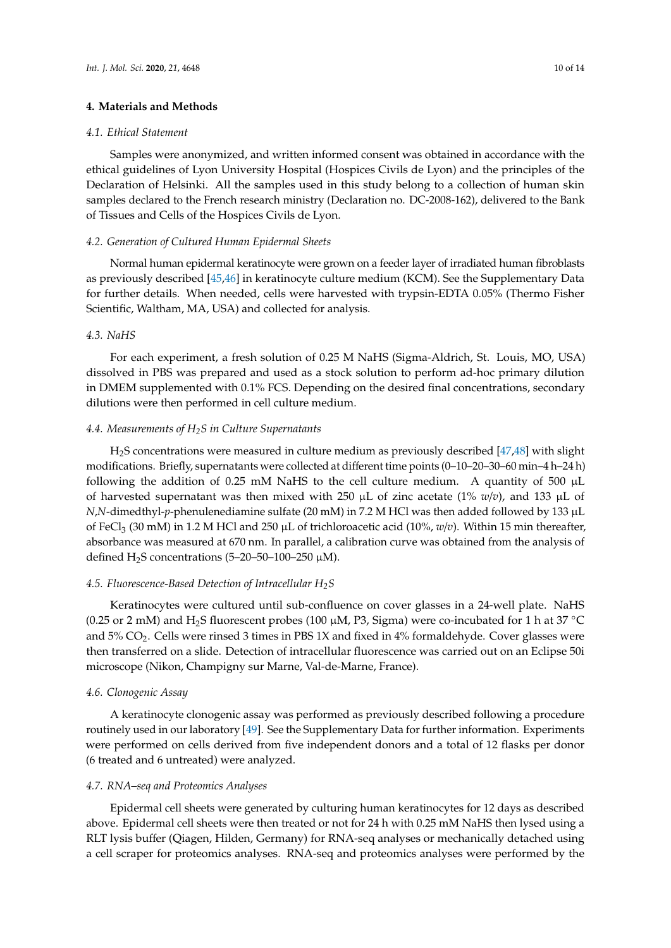## **4. Materials and Methods**

#### *4.1. Ethical Statement*

Samples were anonymized, and written informed consent was obtained in accordance with the ethical guidelines of Lyon University Hospital (Hospices Civils de Lyon) and the principles of the Declaration of Helsinki. All the samples used in this study belong to a collection of human skin samples declared to the French research ministry (Declaration no. DC-2008-162), delivered to the Bank of Tissues and Cells of the Hospices Civils de Lyon.

## *4.2. Generation of Cultured Human Epidermal Sheets*

Normal human epidermal keratinocyte were grown on a feeder layer of irradiated human fibroblasts as previously described [45,46] in keratinocyte culture medium (KCM). See the Supplementary Data for further details. When needed, cells were harvested with trypsin-EDTA 0.05% (Thermo Fisher Scientific, Waltham, MA, USA) and collected for analysis.

## *4.3. NaHS*

For each experiment, a fresh solution of 0.25 M NaHS (Sigma-Aldrich, St. Louis, MO, USA) dissolved in PBS was prepared and used as a stock solution to perform ad-hoc primary dilution in DMEM supplemented with 0.1% FCS. Depending on the desired final concentrations, secondary dilutions were then performed in cell culture medium.

## *4.4. Measurements of H2S in Culture Supernatants*

H2S concentrations were measured in culture medium as previously described [47,48] with slight modifications. Briefly, supernatants were collected at different time points (0–10–20–30–60 min–4 h–24 h) following the addition of 0.25 mM NaHS to the cell culture medium. A quantity of 500  $\mu$ L of harvested supernatant was then mixed with 250  $\mu$ L of zinc acetate (1%  $w/v$ ), and 133  $\mu$ L of *N*,*N*-dimedthyl-*p*-phenulenediamine sulfate (20 mM) in 7.2 M HCl was then added followed by 133 µL of FeCl<sub>3</sub> (30 mM) in 1.2 M HCl and 250  $\mu$ L of trichloroacetic acid (10%,  $w/v$ ). Within 15 min thereafter, absorbance was measured at 670 nm. In parallel, a calibration curve was obtained from the analysis of defined  $H_2S$  concentrations (5–20–50–100–250  $\mu$ M).

## *4.5. Fluorescence-Based Detection of Intracellular H2S*

Keratinocytes were cultured until sub-confluence on cover glasses in a 24-well plate. NaHS (0.25 or 2 mM) and H<sub>2</sub>S fluorescent probes (100  $\mu$ M, P3, Sigma) were co-incubated for 1 h at 37 °C and  $5\%$  CO<sub>2</sub>. Cells were rinsed 3 times in PBS 1X and fixed in  $4\%$  formaldehyde. Cover glasses were then transferred on a slide. Detection of intracellular fluorescence was carried out on an Eclipse 50i microscope (Nikon, Champigny sur Marne, Val-de-Marne, France).

#### *4.6. Clonogenic Assay*

A keratinocyte clonogenic assay was performed as previously described following a procedure routinely used in our laboratory [49]. See the Supplementary Data for further information. Experiments were performed on cells derived from five independent donors and a total of 12 flasks per donor (6 treated and 6 untreated) were analyzed.

#### *4.7. RNA–seq and Proteomics Analyses*

Epidermal cell sheets were generated by culturing human keratinocytes for 12 days as described above. Epidermal cell sheets were then treated or not for 24 h with 0.25 mM NaHS then lysed using a RLT lysis buffer (Qiagen, Hilden, Germany) for RNA-seq analyses or mechanically detached using a cell scraper for proteomics analyses. RNA-seq and proteomics analyses were performed by the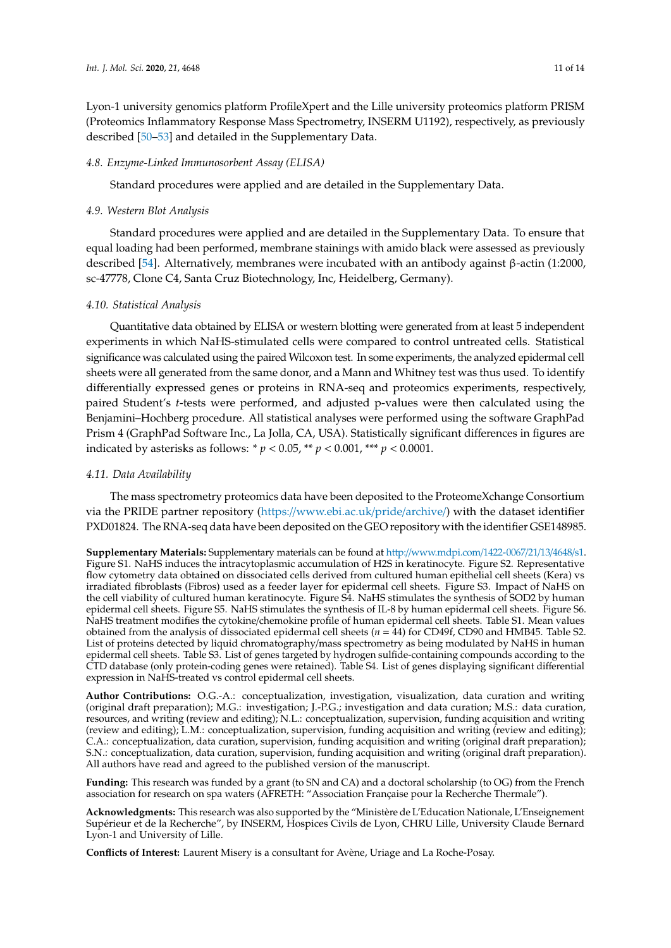Lyon-1 university genomics platform ProfileXpert and the Lille university proteomics platform PRISM (Proteomics Inflammatory Response Mass Spectrometry, INSERM U1192), respectively, as previously described [50–53] and detailed in the Supplementary Data.

#### *4.8. Enzyme-Linked Immunosorbent Assay (ELISA)*

Standard procedures were applied and are detailed in the Supplementary Data.

#### *4.9. Western Blot Analysis*

Standard procedures were applied and are detailed in the Supplementary Data. To ensure that equal loading had been performed, membrane stainings with amido black were assessed as previously described [54]. Alternatively, membranes were incubated with an antibody against β-actin (1:2000, sc-47778, Clone C4, Santa Cruz Biotechnology, Inc, Heidelberg, Germany).

## *4.10. Statistical Analysis*

Quantitative data obtained by ELISA or western blotting were generated from at least 5 independent experiments in which NaHS-stimulated cells were compared to control untreated cells. Statistical significance was calculated using the paired Wilcoxon test. In some experiments, the analyzed epidermal cell sheets were all generated from the same donor, and a Mann and Whitney test was thus used. To identify differentially expressed genes or proteins in RNA-seq and proteomics experiments, respectively, paired Student's *t*-tests were performed, and adjusted p-values were then calculated using the Benjamini–Hochberg procedure. All statistical analyses were performed using the software GraphPad Prism 4 (GraphPad Software Inc., La Jolla, CA, USA). Statistically significant differences in figures are indicated by asterisks as follows: \* *p* < 0.05, \*\* *p* < 0.001, \*\*\* *p* < 0.0001.

#### *4.11. Data Availability*

The mass spectrometry proteomics data have been deposited to the ProteomeXchange Consortium via the PRIDE partner repository (https://www.ebi.ac.uk/pride/archive/) with the dataset identifier PXD01824. The RNA-seq data have been deposited on the GEO repository with the identifier GSE148985.

**Supplementary Materials:** Supplementary materials can be found at http://www.mdpi.com/1422-0067/21/13/4648/s1. Figure S1. NaHS induces the intracytoplasmic accumulation of H2S in keratinocyte. Figure S2. Representative flow cytometry data obtained on dissociated cells derived from cultured human epithelial cell sheets (Kera) vs irradiated fibroblasts (Fibros) used as a feeder layer for epidermal cell sheets. Figure S3. Impact of NaHS on the cell viability of cultured human keratinocyte. Figure S4. NaHS stimulates the synthesis of SOD2 by human epidermal cell sheets. Figure S5. NaHS stimulates the synthesis of IL-8 by human epidermal cell sheets. Figure S6. NaHS treatment modifies the cytokine/chemokine profile of human epidermal cell sheets. Table S1. Mean values obtained from the analysis of dissociated epidermal cell sheets (*n* = 44) for CD49f, CD90 and HMB45. Table S2. List of proteins detected by liquid chromatography/mass spectrometry as being modulated by NaHS in human epidermal cell sheets. Table S3. List of genes targeted by hydrogen sulfide-containing compounds according to the CTD database (only protein-coding genes were retained). Table S4. List of genes displaying significant differential expression in NaHS-treated vs control epidermal cell sheets.

**Author Contributions:** O.G.-A.: conceptualization, investigation, visualization, data curation and writing (original draft preparation); M.G.: investigation; J.-P.G.; investigation and data curation; M.S.: data curation, resources, and writing (review and editing); N.L.: conceptualization, supervision, funding acquisition and writing (review and editing); L.M.: conceptualization, supervision, funding acquisition and writing (review and editing); C.A.: conceptualization, data curation, supervision, funding acquisition and writing (original draft preparation); S.N.: conceptualization, data curation, supervision, funding acquisition and writing (original draft preparation). All authors have read and agreed to the published version of the manuscript.

**Funding:** This research was funded by a grant (to SN and CA) and a doctoral scholarship (to OG) from the French association for research on spa waters (AFRETH: "Association Française pour la Recherche Thermale").

**Acknowledgments:** This research was also supported by the "Ministère de L'Education Nationale, L'Enseignement Supérieur et de la Recherche", by INSERM, Hospices Civils de Lyon, CHRU Lille, University Claude Bernard Lyon-1 and University of Lille.

**Conflicts of Interest:** Laurent Misery is a consultant for Avène, Uriage and La Roche-Posay.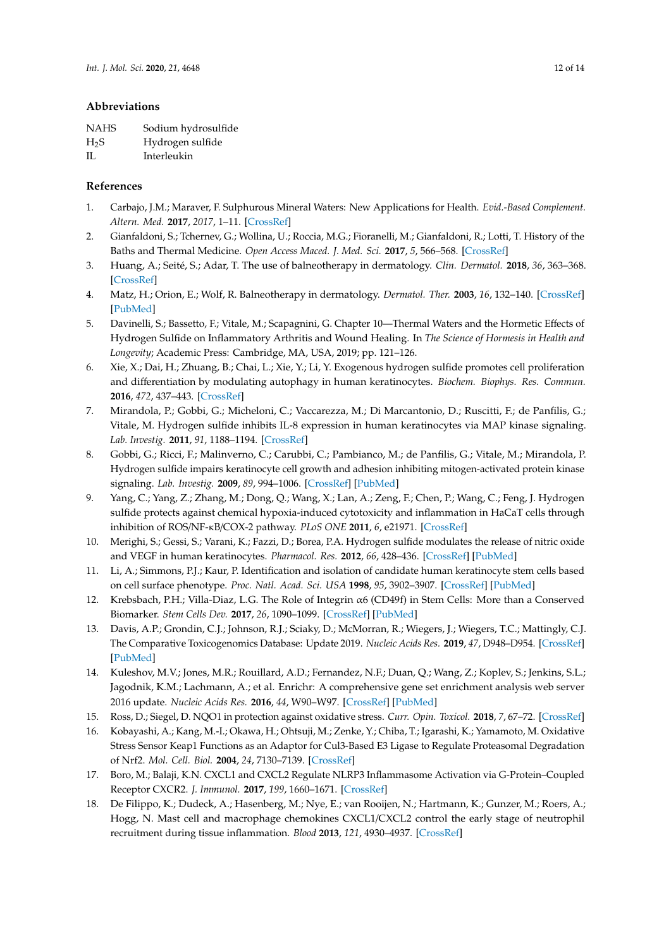# **Abbreviations**

| <b>NAHS</b>      | Sodium hydrosulfide |
|------------------|---------------------|
| H <sub>2</sub> S | Hydrogen sulfide    |
| H.               | Interleukin         |

# **References**

- 1. Carbajo, J.M.; Maraver, F. Sulphurous Mineral Waters: New Applications for Health. *Evid.-Based Complement. Altern. Med.* **2017**, *2017*, 1–11. [CrossRef]
- 2. Gianfaldoni, S.; Tchernev, G.; Wollina, U.; Roccia, M.G.; Fioranelli, M.; Gianfaldoni, R.; Lotti, T. History of the Baths and Thermal Medicine. *Open Access Maced. J. Med. Sci.* **2017**, *5*, 566–568. [CrossRef]
- 3. Huang, A.; Seité, S.; Adar, T. The use of balneotherapy in dermatology. *Clin. Dermatol.* **2018**, *36*, 363–368. [CrossRef]
- 4. Matz, H.; Orion, E.; Wolf, R. Balneotherapy in dermatology. *Dermatol. Ther.* **2003**, *16*, 132–140. [CrossRef] [PubMed]
- 5. Davinelli, S.; Bassetto, F.; Vitale, M.; Scapagnini, G. Chapter 10—Thermal Waters and the Hormetic Effects of Hydrogen Sulfide on Inflammatory Arthritis and Wound Healing. In *The Science of Hormesis in Health and Longevity*; Academic Press: Cambridge, MA, USA, 2019; pp. 121–126.
- 6. Xie, X.; Dai, H.; Zhuang, B.; Chai, L.; Xie, Y.; Li, Y. Exogenous hydrogen sulfide promotes cell proliferation and differentiation by modulating autophagy in human keratinocytes. *Biochem. Biophys. Res. Commun.* **2016**, *472*, 437–443. [CrossRef]
- 7. Mirandola, P.; Gobbi, G.; Micheloni, C.; Vaccarezza, M.; Di Marcantonio, D.; Ruscitti, F.; de Panfilis, G.; Vitale, M. Hydrogen sulfide inhibits IL-8 expression in human keratinocytes via MAP kinase signaling. *Lab. Investig.* **2011**, *91*, 1188–1194. [CrossRef]
- 8. Gobbi, G.; Ricci, F.; Malinverno, C.; Carubbi, C.; Pambianco, M.; de Panfilis, G.; Vitale, M.; Mirandola, P. Hydrogen sulfide impairs keratinocyte cell growth and adhesion inhibiting mitogen-activated protein kinase signaling. *Lab. Investig.* **2009**, *89*, 994–1006. [CrossRef] [PubMed]
- 9. Yang, C.; Yang, Z.; Zhang, M.; Dong, Q.; Wang, X.; Lan, A.; Zeng, F.; Chen, P.; Wang, C.; Feng, J. Hydrogen sulfide protects against chemical hypoxia-induced cytotoxicity and inflammation in HaCaT cells through inhibition of ROS/NF-κB/COX-2 pathway. *PLoS ONE* **2011**, *6*, e21971. [CrossRef]
- 10. Merighi, S.; Gessi, S.; Varani, K.; Fazzi, D.; Borea, P.A. Hydrogen sulfide modulates the release of nitric oxide and VEGF in human keratinocytes. *Pharmacol. Res.* **2012**, *66*, 428–436. [CrossRef] [PubMed]
- 11. Li, A.; Simmons, P.J.; Kaur, P. Identification and isolation of candidate human keratinocyte stem cells based on cell surface phenotype. *Proc. Natl. Acad. Sci. USA* **1998**, *95*, 3902–3907. [CrossRef] [PubMed]
- 12. Krebsbach, P.H.; Villa-Diaz, L.G. The Role of Integrin α6 (CD49f) in Stem Cells: More than a Conserved Biomarker. *Stem Cells Dev.* **2017**, *26*, 1090–1099. [CrossRef] [PubMed]
- 13. Davis, A.P.; Grondin, C.J.; Johnson, R.J.; Sciaky, D.; McMorran, R.; Wiegers, J.; Wiegers, T.C.; Mattingly, C.J. The Comparative Toxicogenomics Database: Update 2019. *Nucleic Acids Res.* **2019**, *47*, D948–D954. [CrossRef] [PubMed]
- 14. Kuleshov, M.V.; Jones, M.R.; Rouillard, A.D.; Fernandez, N.F.; Duan, Q.; Wang, Z.; Koplev, S.; Jenkins, S.L.; Jagodnik, K.M.; Lachmann, A.; et al. Enrichr: A comprehensive gene set enrichment analysis web server 2016 update. *Nucleic Acids Res.* **2016**, *44*, W90–W97. [CrossRef] [PubMed]
- 15. Ross, D.; Siegel, D. NQO1 in protection against oxidative stress. *Curr. Opin. Toxicol.* **2018**, *7*, 67–72. [CrossRef]
- 16. Kobayashi, A.; Kang, M.-I.; Okawa, H.; Ohtsuji, M.; Zenke, Y.; Chiba, T.; Igarashi, K.; Yamamoto, M. Oxidative Stress Sensor Keap1 Functions as an Adaptor for Cul3-Based E3 Ligase to Regulate Proteasomal Degradation of Nrf2. *Mol. Cell. Biol.* **2004**, *24*, 7130–7139. [CrossRef]
- 17. Boro, M.; Balaji, K.N. CXCL1 and CXCL2 Regulate NLRP3 Inflammasome Activation via G-Protein–Coupled Receptor CXCR2. *J. Immunol.* **2017**, *199*, 1660–1671. [CrossRef]
- 18. De Filippo, K.; Dudeck, A.; Hasenberg, M.; Nye, E.; van Rooijen, N.; Hartmann, K.; Gunzer, M.; Roers, A.; Hogg, N. Mast cell and macrophage chemokines CXCL1/CXCL2 control the early stage of neutrophil recruitment during tissue inflammation. *Blood* **2013**, *121*, 4930–4937. [CrossRef]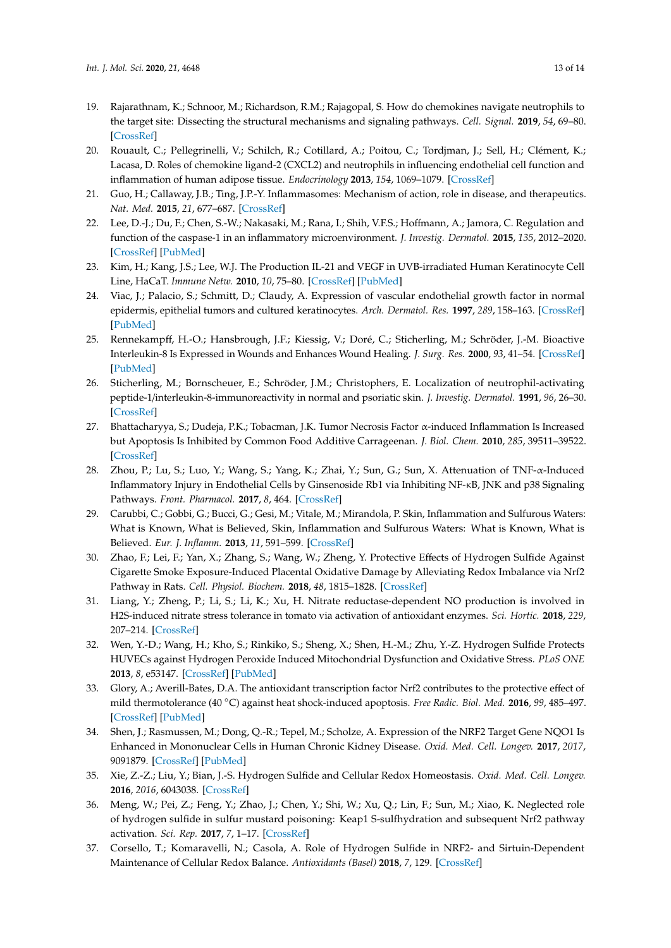- 19. Rajarathnam, K.; Schnoor, M.; Richardson, R.M.; Rajagopal, S. How do chemokines navigate neutrophils to the target site: Dissecting the structural mechanisms and signaling pathways. *Cell. Signal.* **2019**, *54*, 69–80. [CrossRef]
- 20. Rouault, C.; Pellegrinelli, V.; Schilch, R.; Cotillard, A.; Poitou, C.; Tordjman, J.; Sell, H.; Clément, K.; Lacasa, D. Roles of chemokine ligand-2 (CXCL2) and neutrophils in influencing endothelial cell function and inflammation of human adipose tissue. *Endocrinology* **2013**, *154*, 1069–1079. [CrossRef]
- 21. Guo, H.; Callaway, J.B.; Ting, J.P.-Y. Inflammasomes: Mechanism of action, role in disease, and therapeutics. *Nat. Med.* **2015**, *21*, 677–687. [CrossRef]
- 22. Lee, D.-J.; Du, F.; Chen, S.-W.; Nakasaki, M.; Rana, I.; Shih, V.F.S.; Hoffmann, A.; Jamora, C. Regulation and function of the caspase-1 in an inflammatory microenvironment. *J. Investig. Dermatol.* **2015**, *135*, 2012–2020. [CrossRef] [PubMed]
- 23. Kim, H.; Kang, J.S.; Lee, W.J. The Production IL-21 and VEGF in UVB-irradiated Human Keratinocyte Cell Line, HaCaT. *Immune Netw.* **2010**, *10*, 75–80. [CrossRef] [PubMed]
- 24. Viac, J.; Palacio, S.; Schmitt, D.; Claudy, A. Expression of vascular endothelial growth factor in normal epidermis, epithelial tumors and cultured keratinocytes. *Arch. Dermatol. Res.* **1997**, *289*, 158–163. [CrossRef] [PubMed]
- 25. Rennekampff, H.-O.; Hansbrough, J.F.; Kiessig, V.; Doré, C.; Sticherling, M.; Schröder, J.-M. Bioactive Interleukin-8 Is Expressed in Wounds and Enhances Wound Healing. *J. Surg. Res.* **2000**, *93*, 41–54. [CrossRef] [PubMed]
- 26. Sticherling, M.; Bornscheuer, E.; Schröder, J.M.; Christophers, E. Localization of neutrophil-activating peptide-1/interleukin-8-immunoreactivity in normal and psoriatic skin. *J. Investig. Dermatol.* **1991**, *96*, 26–30. [CrossRef]
- 27. Bhattacharyya, S.; Dudeja, P.K.; Tobacman, J.K. Tumor Necrosis Factor α-induced Inflammation Is Increased but Apoptosis Is Inhibited by Common Food Additive Carrageenan. *J. Biol. Chem.* **2010**, *285*, 39511–39522. [CrossRef]
- 28. Zhou, P.; Lu, S.; Luo, Y.; Wang, S.; Yang, K.; Zhai, Y.; Sun, G.; Sun, X. Attenuation of TNF-α-Induced Inflammatory Injury in Endothelial Cells by Ginsenoside Rb1 via Inhibiting NF-κB, JNK and p38 Signaling Pathways. *Front. Pharmacol.* **2017**, *8*, 464. [CrossRef]
- 29. Carubbi, C.; Gobbi, G.; Bucci, G.; Gesi, M.; Vitale, M.; Mirandola, P. Skin, Inflammation and Sulfurous Waters: What is Known, What is Believed, Skin, Inflammation and Sulfurous Waters: What is Known, What is Believed. *Eur. J. Inflamm.* **2013**, *11*, 591–599. [CrossRef]
- 30. Zhao, F.; Lei, F.; Yan, X.; Zhang, S.; Wang, W.; Zheng, Y. Protective Effects of Hydrogen Sulfide Against Cigarette Smoke Exposure-Induced Placental Oxidative Damage by Alleviating Redox Imbalance via Nrf2 Pathway in Rats. *Cell. Physiol. Biochem.* **2018**, *48*, 1815–1828. [CrossRef]
- 31. Liang, Y.; Zheng, P.; Li, S.; Li, K.; Xu, H. Nitrate reductase-dependent NO production is involved in H2S-induced nitrate stress tolerance in tomato via activation of antioxidant enzymes. *Sci. Hortic.* **2018**, *229*, 207–214. [CrossRef]
- 32. Wen, Y.-D.; Wang, H.; Kho, S.; Rinkiko, S.; Sheng, X.; Shen, H.-M.; Zhu, Y.-Z. Hydrogen Sulfide Protects HUVECs against Hydrogen Peroxide Induced Mitochondrial Dysfunction and Oxidative Stress. *PLoS ONE* **2013**, *8*, e53147. [CrossRef] [PubMed]
- 33. Glory, A.; Averill-Bates, D.A. The antioxidant transcription factor Nrf2 contributes to the protective effect of mild thermotolerance (40 ◦C) against heat shock-induced apoptosis. *Free Radic. Biol. Med.* **2016**, *<sup>99</sup>*, 485–497. [CrossRef] [PubMed]
- 34. Shen, J.; Rasmussen, M.; Dong, Q.-R.; Tepel, M.; Scholze, A. Expression of the NRF2 Target Gene NQO1 Is Enhanced in Mononuclear Cells in Human Chronic Kidney Disease. *Oxid. Med. Cell. Longev.* **2017**, *2017*, 9091879. [CrossRef] [PubMed]
- 35. Xie, Z.-Z.; Liu, Y.; Bian, J.-S. Hydrogen Sulfide and Cellular Redox Homeostasis. *Oxid. Med. Cell. Longev.* **2016**, *2016*, 6043038. [CrossRef]
- 36. Meng, W.; Pei, Z.; Feng, Y.; Zhao, J.; Chen, Y.; Shi, W.; Xu, Q.; Lin, F.; Sun, M.; Xiao, K. Neglected role of hydrogen sulfide in sulfur mustard poisoning: Keap1 S-sulfhydration and subsequent Nrf2 pathway activation. *Sci. Rep.* **2017**, *7*, 1–17. [CrossRef]
- 37. Corsello, T.; Komaravelli, N.; Casola, A. Role of Hydrogen Sulfide in NRF2- and Sirtuin-Dependent Maintenance of Cellular Redox Balance. *Antioxidants (Basel)* **2018**, *7*, 129. [CrossRef]